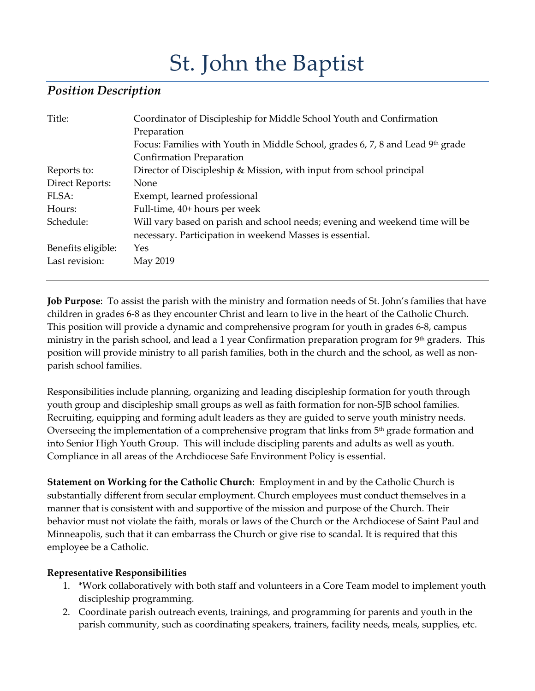# St. John the Baptist

## *Position Description*

| Title:                 | Coordinator of Discipleship for Middle School Youth and Confirmation           |
|------------------------|--------------------------------------------------------------------------------|
|                        | Preparation                                                                    |
|                        | Focus: Families with Youth in Middle School, grades 6, 7, 8 and Lead 9th grade |
|                        | Confirmation Preparation                                                       |
| Reports to:            | Director of Discipleship & Mission, with input from school principal           |
| <b>Direct Reports:</b> | None                                                                           |
| FLSA:                  | Exempt, learned professional                                                   |
| Hours:                 | Full-time, 40+ hours per week                                                  |
| Schedule:              | Will vary based on parish and school needs; evening and weekend time will be   |
|                        | necessary. Participation in weekend Masses is essential.                       |
| Benefits eligible:     | Yes                                                                            |
| Last revision:         | May 2019                                                                       |

**Job Purpose**: To assist the parish with the ministry and formation needs of St. John's families that have children in grades 6-8 as they encounter Christ and learn to live in the heart of the Catholic Church. This position will provide a dynamic and comprehensive program for youth in grades 6-8, campus ministry in the parish school, and lead a 1 year Confirmation preparation program for 9<sup>th</sup> graders. This position will provide ministry to all parish families, both in the church and the school, as well as nonparish school families.

Responsibilities include planning, organizing and leading discipleship formation for youth through youth group and discipleship small groups as well as faith formation for non-SJB school families. Recruiting, equipping and forming adult leaders as they are guided to serve youth ministry needs. Overseeing the implementation of a comprehensive program that links from 5<sup>th</sup> grade formation and into Senior High Youth Group. This will include discipling parents and adults as well as youth. Compliance in all areas of the Archdiocese Safe Environment Policy is essential.

**Statement on Working for the Catholic Church**: Employment in and by the Catholic Church is substantially different from secular employment. Church employees must conduct themselves in a manner that is consistent with and supportive of the mission and purpose of the Church. Their behavior must not violate the faith, morals or laws of the Church or the Archdiocese of Saint Paul and Minneapolis, such that it can embarrass the Church or give rise to scandal. It is required that this employee be a Catholic.

## **Representative Responsibilities**

- 1. \*Work collaboratively with both staff and volunteers in a Core Team model to implement youth discipleship programming.
- 2. Coordinate parish outreach events, trainings, and programming for parents and youth in the parish community, such as coordinating speakers, trainers, facility needs, meals, supplies, etc.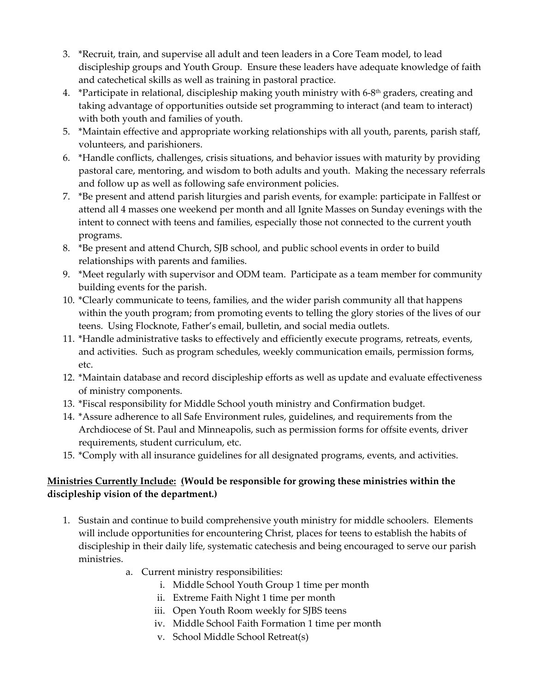- 3. \*Recruit, train, and supervise all adult and teen leaders in a Core Team model, to lead discipleship groups and Youth Group. Ensure these leaders have adequate knowledge of faith and catechetical skills as well as training in pastoral practice.
- 4. \*Participate in relational, discipleship making youth ministry with 6-8<sup>th</sup> graders, creating and taking advantage of opportunities outside set programming to interact (and team to interact) with both youth and families of youth.
- 5. \*Maintain effective and appropriate working relationships with all youth, parents, parish staff, volunteers, and parishioners.
- 6. \*Handle conflicts, challenges, crisis situations, and behavior issues with maturity by providing pastoral care, mentoring, and wisdom to both adults and youth. Making the necessary referrals and follow up as well as following safe environment policies.
- 7. \*Be present and attend parish liturgies and parish events, for example: participate in Fallfest or attend all 4 masses one weekend per month and all Ignite Masses on Sunday evenings with the intent to connect with teens and families, especially those not connected to the current youth programs.
- 8. \*Be present and attend Church, SJB school, and public school events in order to build relationships with parents and families.
- 9. \*Meet regularly with supervisor and ODM team. Participate as a team member for community building events for the parish.
- 10. \*Clearly communicate to teens, families, and the wider parish community all that happens within the youth program; from promoting events to telling the glory stories of the lives of our teens. Using Flocknote, Father's email, bulletin, and social media outlets.
- 11. \*Handle administrative tasks to effectively and efficiently execute programs, retreats, events, and activities. Such as program schedules, weekly communication emails, permission forms, etc.
- 12. \*Maintain database and record discipleship efforts as well as update and evaluate effectiveness of ministry components.
- 13. \*Fiscal responsibility for Middle School youth ministry and Confirmation budget.
- 14. \*Assure adherence to all Safe Environment rules, guidelines, and requirements from the Archdiocese of St. Paul and Minneapolis, such as permission forms for offsite events, driver requirements, student curriculum, etc.
- 15. \*Comply with all insurance guidelines for all designated programs, events, and activities.

## **Ministries Currently Include: (Would be responsible for growing these ministries within the discipleship vision of the department.)**

- 1. Sustain and continue to build comprehensive youth ministry for middle schoolers. Elements will include opportunities for encountering Christ, places for teens to establish the habits of discipleship in their daily life, systematic catechesis and being encouraged to serve our parish ministries.
	- a. Current ministry responsibilities:
		- i. Middle School Youth Group 1 time per month
		- ii. Extreme Faith Night 1 time per month
		- iii. Open Youth Room weekly for SJBS teens
		- iv. Middle School Faith Formation 1 time per month
		- v. School Middle School Retreat(s)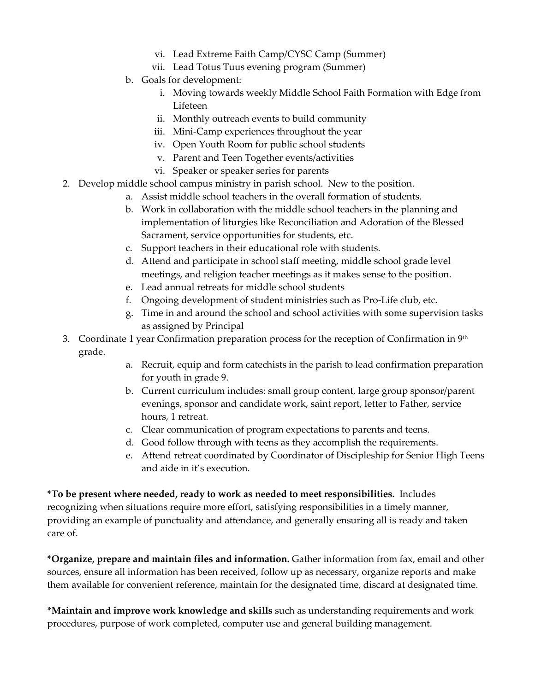- vi. Lead Extreme Faith Camp/CYSC Camp (Summer)
- vii. Lead Totus Tuus evening program (Summer)
- b. Goals for development:
	- i. Moving towards weekly Middle School Faith Formation with Edge from Lifeteen
	- ii. Monthly outreach events to build community
	- iii. Mini-Camp experiences throughout the year
	- iv. Open Youth Room for public school students
	- v. Parent and Teen Together events/activities
	- vi. Speaker or speaker series for parents
- 2. Develop middle school campus ministry in parish school. New to the position.
	- a. Assist middle school teachers in the overall formation of students.
	- b. Work in collaboration with the middle school teachers in the planning and implementation of liturgies like Reconciliation and Adoration of the Blessed Sacrament, service opportunities for students, etc.
	- c. Support teachers in their educational role with students.
	- d. Attend and participate in school staff meeting, middle school grade level meetings, and religion teacher meetings as it makes sense to the position.
	- e. Lead annual retreats for middle school students
	- f. Ongoing development of student ministries such as Pro-Life club, etc.
	- g. Time in and around the school and school activities with some supervision tasks as assigned by Principal
- 3. Coordinate 1 year Confirmation preparation process for the reception of Confirmation in  $9<sup>th</sup>$ grade.
	- a. Recruit, equip and form catechists in the parish to lead confirmation preparation for youth in grade 9.
	- b. Current curriculum includes: small group content, large group sponsor/parent evenings, sponsor and candidate work, saint report, letter to Father, service hours, 1 retreat.
	- c. Clear communication of program expectations to parents and teens.
	- d. Good follow through with teens as they accomplish the requirements.
	- e. Attend retreat coordinated by Coordinator of Discipleship for Senior High Teens and aide in it's execution.

**\*To be present where needed, ready to work as needed to meet responsibilities.** Includes recognizing when situations require more effort, satisfying responsibilities in a timely manner, providing an example of punctuality and attendance, and generally ensuring all is ready and taken care of.

**\*Organize, prepare and maintain files and information.** Gather information from fax, email and other sources, ensure all information has been received, follow up as necessary, organize reports and make them available for convenient reference, maintain for the designated time, discard at designated time.

**\*Maintain and improve work knowledge and skills** such as understanding requirements and work procedures, purpose of work completed, computer use and general building management.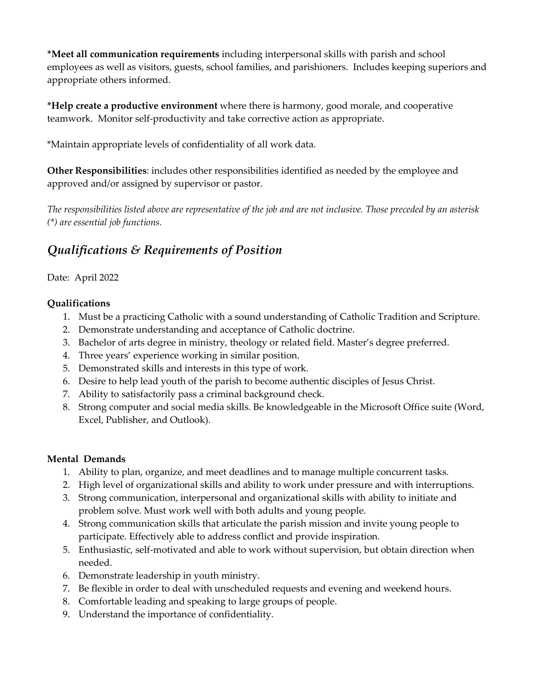**\*Meet all communication requirements** including interpersonal skills with parish and school employees as well as visitors, guests, school families, and parishioners. Includes keeping superiors and appropriate others informed.

**\*Help create a productive environment** where there is harmony, good morale, and cooperative teamwork. Monitor self-productivity and take corrective action as appropriate.

\*Maintain appropriate levels of confidentiality of all work data.

**Other Responsibilities**: includes other responsibilities identified as needed by the employee and approved and/or assigned by supervisor or pastor.

*The responsibilities listed above are representative of the job and are not inclusive. Those preceded by an asterisk (\*) are essential job functions.*

## *Qualifications & Requirements of Position*

## Date: April 2022

## **Qualifications**

- 1. Must be a practicing Catholic with a sound understanding of Catholic Tradition and Scripture.
- 2. Demonstrate understanding and acceptance of Catholic doctrine.
- 3. Bachelor of arts degree in ministry, theology or related field. Master's degree preferred.
- 4. Three years' experience working in similar position.
- 5. Demonstrated skills and interests in this type of work.
- 6. Desire to help lead youth of the parish to become authentic disciples of Jesus Christ.
- 7. Ability to satisfactorily pass a criminal background check.
- 8. Strong computer and social media skills. Be knowledgeable in the Microsoft Office suite (Word, Excel, Publisher, and Outlook).

## **Mental Demands**

- 1. Ability to plan, organize, and meet deadlines and to manage multiple concurrent tasks.
- 2. High level of organizational skills and ability to work under pressure and with interruptions.
- 3. Strong communication, interpersonal and organizational skills with ability to initiate and problem solve. Must work well with both adults and young people.
- 4. Strong communication skills that articulate the parish mission and invite young people to participate. Effectively able to address conflict and provide inspiration.
- 5. Enthusiastic, self-motivated and able to work without supervision, but obtain direction when needed.
- 6. Demonstrate leadership in youth ministry.
- 7. Be flexible in order to deal with unscheduled requests and evening and weekend hours.
- 8. Comfortable leading and speaking to large groups of people.
- 9. Understand the importance of confidentiality.